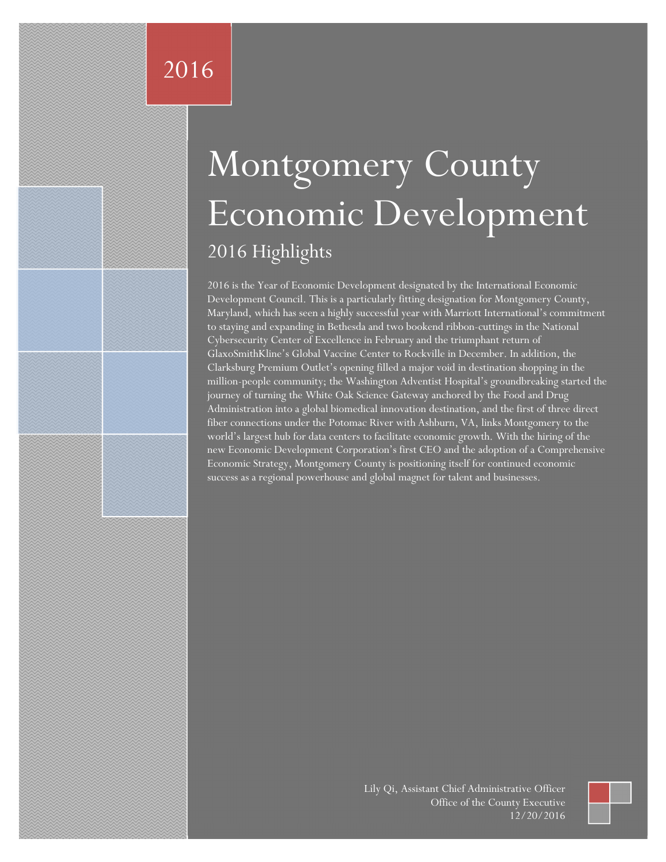# Montgomery County Economic Development 2016 Highlights

2016 is the Year of Economic Development designated by the International Economic Development Council. This is a particularly fitting designation for Montgomery County, Maryland, which has seen a highly successful year with Marriott International's commitment to staying and expanding in Bethesda and two bookend ribbon-cuttings in the National Cybersecurity Center of Excellence in February and the triumphant return of GlaxoSmithKline's Global Vaccine Center to Rockville in December. In addition, the Clarksburg Premium Outlet's opening filled a major void in destination shopping in the million-people community; the Washington Adventist Hospital's groundbreaking started the journey of turning the White Oak Science Gateway anchored by the Food and Drug Administration into a global biomedical innovation destination, and the first of three direct fiber connections under the Potomac River with Ashburn, VA, links Montgomery to the world's largest hub for data centers to facilitate economic growth. With the hiring of the new Economic Development Corporation's first CEO and the adoption of a Comprehensive Economic Strategy, Montgomery County is positioning itself for continued economic success as a regional powerhouse and global magnet for talent and businesses.

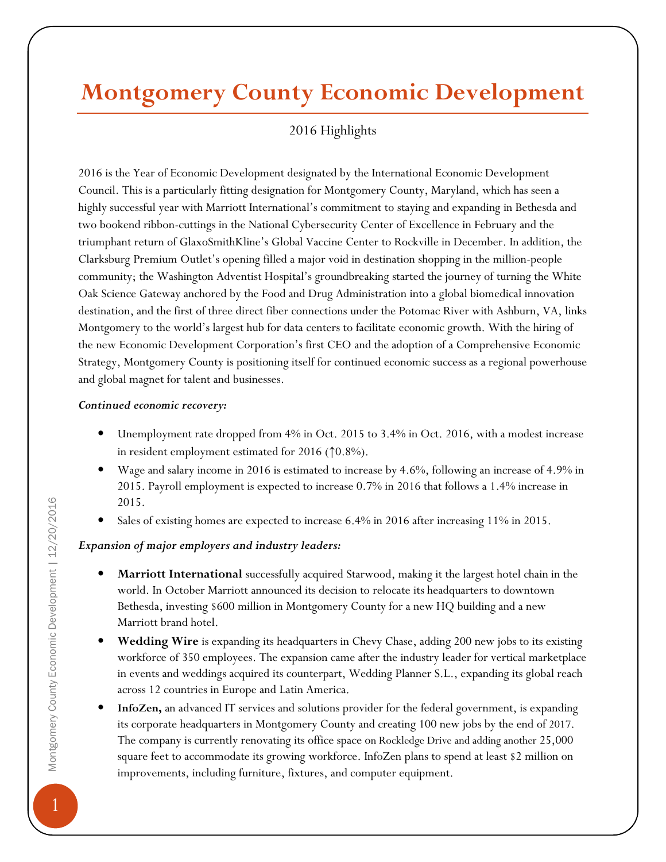# Montgomery County Economic Development

## 2016 Highlights

2016 is the Year of Economic Development designated by the International Economic Development Council. This is a particularly fitting designation for Montgomery County, Maryland, which has seen a highly successful year with Marriott International's commitment to staying and expanding in Bethesda and two bookend ribbon-cuttings in the National Cybersecurity Center of Excellence in February and the triumphant return of GlaxoSmithKline's Global Vaccine Center to Rockville in December. In addition, the Clarksburg Premium Outlet's opening filled a major void in destination shopping in the million-people community; the Washington Adventist Hospital's groundbreaking started the journey of turning the White Oak Science Gateway anchored by the Food and Drug Administration into a global biomedical innovation destination, and the first of three direct fiber connections under the Potomac River with Ashburn, VA, links Montgomery to the world's largest hub for data centers to facilitate economic growth. With the hiring of the new Economic Development Corporation's first CEO and the adoption of a Comprehensive Economic Strategy, Montgomery County is positioning itself for continued economic success as a regional powerhouse and global magnet for talent and businesses.

#### Continued economic recovery:

- Unemployment rate dropped from 4% in Oct. 2015 to 3.4% in Oct. 2016, with a modest increase in resident employment estimated for 2016 (↑0.8%).
- Wage and salary income in 2016 is estimated to increase by 4.6%, following an increase of 4.9% in 2015. Payroll employment is expected to increase 0.7% in 2016 that follows a 1.4% increase in 2015.
- Sales of existing homes are expected to increase 6.4% in 2016 after increasing 11% in 2015.

#### Expansion of major employers and industry leaders:

- Marriott International successfully acquired Starwood, making it the largest hotel chain in the world. In October Marriott announced its decision to relocate its headquarters to downtown Bethesda, investing \$600 million in Montgomery County for a new HQ building and a new Marriott brand hotel.
- Wedding Wire is expanding its headquarters in Chevy Chase, adding 200 new jobs to its existing workforce of 350 employees. The expansion came after the industry leader for vertical marketplace in events and weddings acquired its counterpart, Wedding Planner S.L., expanding its global reach across 12 countries in Europe and Latin America.
- InfoZen, an advanced IT services and solutions provider for the federal government, is expanding its corporate headquarters in Montgomery County and creating 100 new jobs by the end of 2017. The company is currently renovating its office space on Rockledge Drive and adding another 25,000 square feet to accommodate its growing workforce. InfoZen plans to spend at least \$2 million on improvements, including furniture, fixtures, and computer equipment.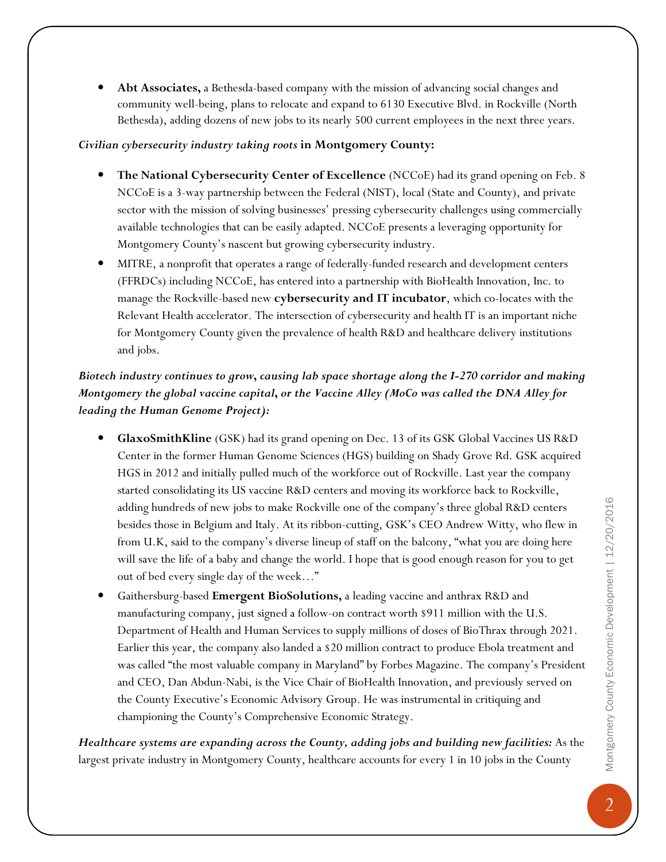Abt Associates, a Bethesda-based company with the mission of advancing social changes and community well-being, plans to relocate and expand to 6130 Executive Blvd. in Rockville (North Bethesda), adding dozens of new jobs to its nearly 500 current employees in the next three years.

#### Civilian cybersecurity industry taking roots in Montgomery County:

- The National Cybersecurity Center of Excellence (NCCoE) had its grand opening on Feb. 8 NCCoE is a 3-way partnership between the Federal (NIST), local (State and County), and private sector with the mission of solving businesses' pressing cybersecurity challenges using commercially available technologies that can be easily adapted. NCCoE presents a leveraging opportunity for Montgomery County's nascent but growing cybersecurity industry.
- MITRE, a nonprofit that operates a range of federally-funded research and development centers (FFRDCs) including NCCoE, has entered into a partnership with BioHealth Innovation, Inc. to manage the Rockville-based new cybersecurity and IT incubator, which co-locates with the Relevant Health accelerator. The intersection of cybersecurity and health IT is an important niche for Montgomery County given the prevalence of health R&D and healthcare delivery institutions and jobs.

### Biotech industry continues to grow, causing lab space shortage along the I-270 corridor and making Montgomery the global vaccine capital, or the Vaccine Alley (MoCo was called the DNA Alley for leading the Human Genome Project):

- GlaxoSmithKline (GSK) had its grand opening on Dec. 13 of its GSK Global Vaccines US R&D Center in the former Human Genome Sciences (HGS) building on Shady Grove Rd. GSK acquired HGS in 2012 and initially pulled much of the workforce out of Rockville. Last year the company started consolidating its US vaccine R&D centers and moving its workforce back to Rockville, adding hundreds of new jobs to make Rockville one of the company's three global R&D centers besides those in Belgium and Italy. At its ribbon-cutting, GSK's CEO Andrew Witty, who flew in from U.K, said to the company's diverse lineup of staff on the balcony, "what you are doing here will save the life of a baby and change the world. I hope that is good enough reason for you to get out of bed every single day of the week…"
- Gaithersburg-based Emergent BioSolutions, a leading vaccine and anthrax R&D and manufacturing company, just signed a follow-on contract worth \$911 million with the U.S. Department of Health and Human Services to supply millions of doses of BioThrax through 2021. Earlier this year, the company also landed a \$20 million contract to produce Ebola treatment and was called "the most valuable company in Maryland" by Forbes Magazine. The company's President and CEO, Dan Abdun-Nabi, is the Vice Chair of BioHealth Innovation, and previously served on the County Executive's Economic Advisory Group. He was instrumental in critiquing and championing the County's Comprehensive Economic Strategy.

Healthcare systems are expanding across the County, adding jobs and building new facilities: As the largest private industry in Montgomery County, healthcare accounts for every 1 in 10 jobs in the County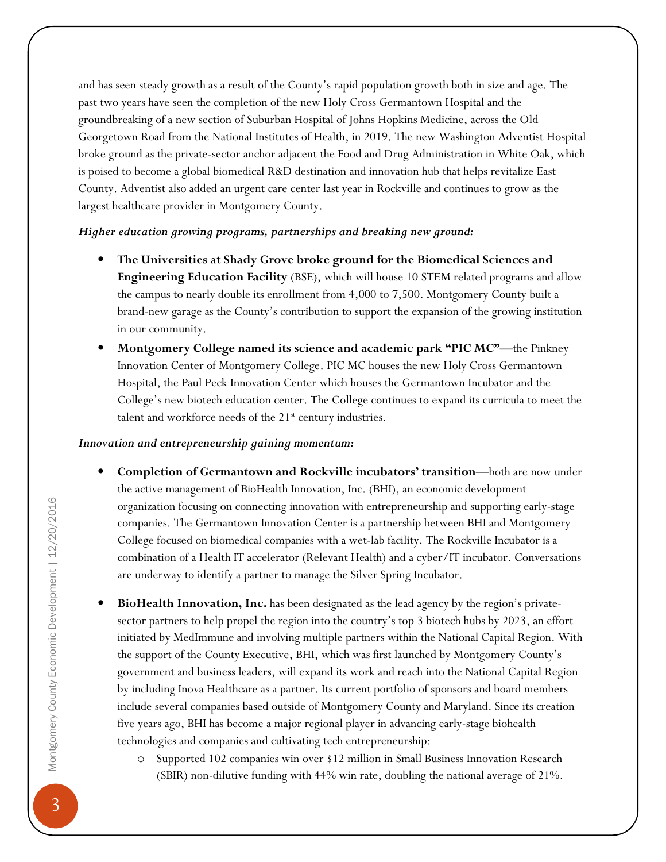and has seen steady growth as a result of the County's rapid population growth both in size and age. The past two years have seen the completion of the new Holy Cross Germantown Hospital and the groundbreaking of a new section of Suburban Hospital of Johns Hopkins Medicine, across the Old Georgetown Road from the National Institutes of Health, in 2019. The new Washington Adventist Hospital broke ground as the private-sector anchor adjacent the Food and Drug Administration in White Oak, which is poised to become a global biomedical R&D destination and innovation hub that helps revitalize East County. Adventist also added an urgent care center last year in Rockville and continues to grow as the largest healthcare provider in Montgomery County.

#### Higher education growing programs, partnerships and breaking new ground:

- The Universities at Shady Grove broke ground for the Biomedical Sciences and Engineering Education Facility (BSE), which will house 10 STEM related programs and allow the campus to nearly double its enrollment from 4,000 to 7,500. Montgomery County built a brand-new garage as the County's contribution to support the expansion of the growing institution in our community.
- Montgomery College named its science and academic park "PIC MC"—the Pinkney Innovation Center of Montgomery College. PIC MC houses the new Holy Cross Germantown Hospital, the Paul Peck Innovation Center which houses the Germantown Incubator and the College's new biotech education center. The College continues to expand its curricula to meet the talent and workforce needs of the  $21<sup>st</sup>$  century industries.

#### Innovation and entrepreneurship gaining momentum:

- Completion of Germantown and Rockville incubators' transition—both are now under the active management of BioHealth Innovation, Inc. (BHI), an economic development organization focusing on connecting innovation with entrepreneurship and supporting early-stage companies. The Germantown Innovation Center is a partnership between BHI and Montgomery College focused on biomedical companies with a wet-lab facility. The Rockville Incubator is a combination of a Health IT accelerator (Relevant Health) and a cyber/IT incubator. Conversations are underway to identify a partner to manage the Silver Spring Incubator.
- BioHealth Innovation, Inc. has been designated as the lead agency by the region's privatesector partners to help propel the region into the country's top 3 biotech hubs by 2023, an effort initiated by MedImmune and involving multiple partners within the National Capital Region. With the support of the County Executive, BHI, which was first launched by Montgomery County's government and business leaders, will expand its work and reach into the National Capital Region by including Inova Healthcare as a partner. Its current portfolio of sponsors and board members include several companies based outside of Montgomery County and Maryland. Since its creation five years ago, BHI has become a major regional player in advancing early-stage biohealth technologies and companies and cultivating tech entrepreneurship:
	- o Supported 102 companies win over \$12 million in Small Business Innovation Research (SBIR) non-dilutive funding with 44% win rate, doubling the national average of 21%.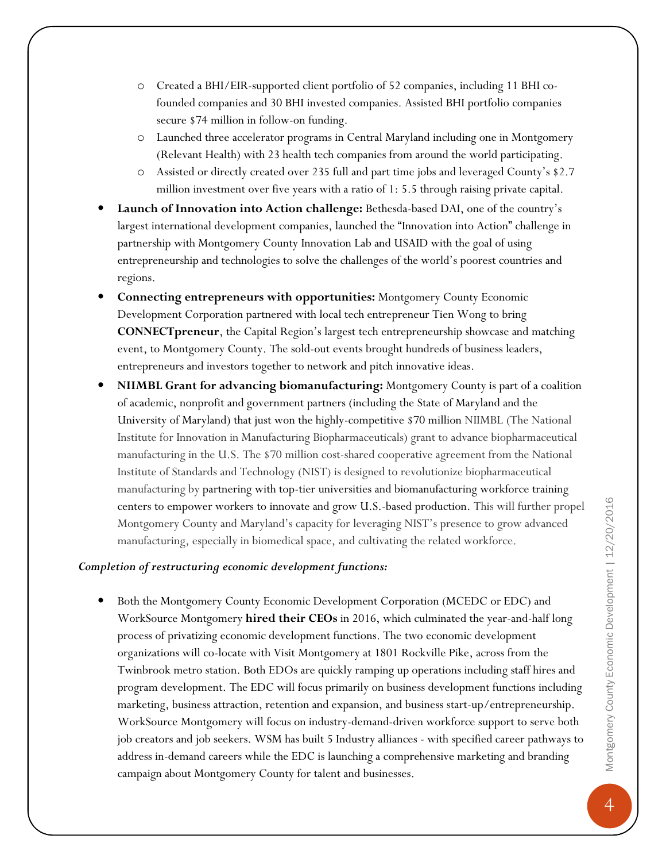- o Created a BHI/EIR-supported client portfolio of 52 companies, including 11 BHI cofounded companies and 30 BHI invested companies. Assisted BHI portfolio companies secure \$74 million in follow-on funding.
- o Launched three accelerator programs in Central Maryland including one in Montgomery (Relevant Health) with 23 health tech companies from around the world participating.
- o Assisted or directly created over 235 full and part time jobs and leveraged County's \$2.7 million investment over five years with a ratio of 1: 5.5 through raising private capital.
- Launch of Innovation into Action challenge: Bethesda-based DAI, one of the country's largest international development companies, launched the "Innovation into Action" challenge in partnership with Montgomery County Innovation Lab and USAID with the goal of using entrepreneurship and technologies to solve the challenges of the world's poorest countries and regions.
- Connecting entrepreneurs with opportunities: Montgomery County Economic Development Corporation partnered with local tech entrepreneur Tien Wong to bring CONNECTpreneur, the Capital Region's largest tech entrepreneurship showcase and matching event, to Montgomery County. The sold-out events brought hundreds of business leaders, entrepreneurs and investors together to network and pitch innovative ideas.
- NIIMBL Grant for advancing biomanufacturing: Montgomery County is part of a coalition of academic, nonprofit and government partners (including the State of Maryland and the University of Maryland) that just won the highly-competitive \$70 million NIIMBL (The National Institute for Innovation in Manufacturing Biopharmaceuticals) grant to advance biopharmaceutical manufacturing in the U.S. The \$70 million cost-shared cooperative agreement from the National Institute of Standards and Technology (NIST) is designed to revolutionize biopharmaceutical manufacturing by partnering with top-tier universities and biomanufacturing workforce training centers to empower workers to innovate and grow U.S.-based production. This will further propel Montgomery County and Maryland's capacity for leveraging NIST's presence to grow advanced manufacturing, especially in biomedical space, and cultivating the related workforce.

#### Completion of restructuring economic development functions:

• Both the Montgomery County Economic Development Corporation (MCEDC or EDC) and WorkSource Montgomery **hired their CEOs** in 2016, which culminated the year-and-half long process of privatizing economic development functions. The two economic development organizations will co-locate with Visit Montgomery at 1801 Rockville Pike, across from the Twinbrook metro station. Both EDOs are quickly ramping up operations including staff hires and program development. The EDC will focus primarily on business development functions including marketing, business attraction, retention and expansion, and business start-up/entrepreneurship. WorkSource Montgomery will focus on industry-demand-driven workforce support to serve both job creators and job seekers. WSM has built 5 Industry alliances - with specified career pathways to address in-demand careers while the EDC is launching a comprehensive marketing and branding campaign about Montgomery County for talent and businesses.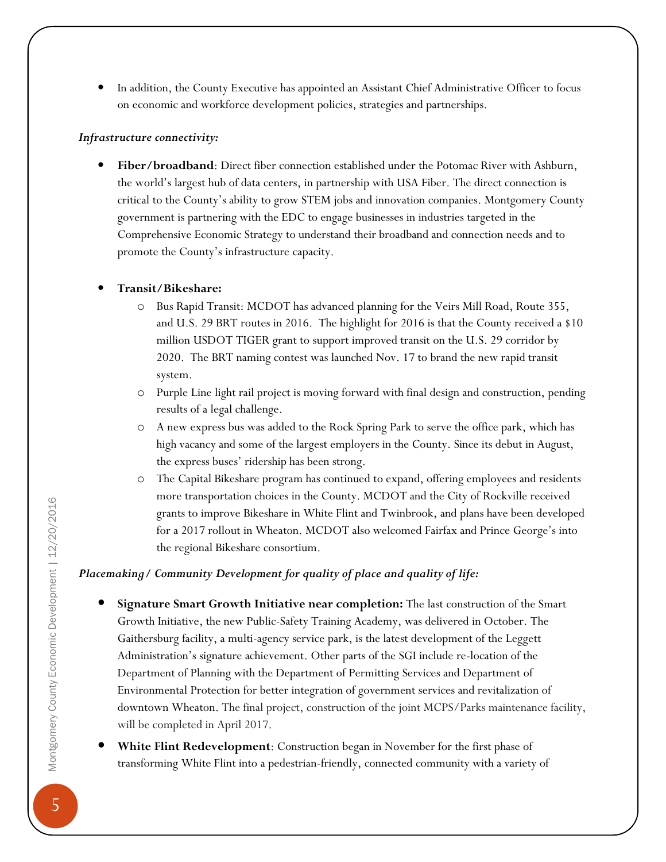• In addition, the County Executive has appointed an Assistant Chief Administrative Officer to focus on economic and workforce development policies, strategies and partnerships.

#### Infrastructure connectivity:

Fiber/broadband: Direct fiber connection established under the Potomac River with Ashburn, the world's largest hub of data centers, in partnership with USA Fiber. The direct connection is critical to the County's ability to grow STEM jobs and innovation companies. Montgomery County government is partnering with the EDC to engage businesses in industries targeted in the Comprehensive Economic Strategy to understand their broadband and connection needs and to promote the County's infrastructure capacity.

#### • Transit/Bikeshare:

- o Bus Rapid Transit: MCDOT has advanced planning for the Veirs Mill Road, Route 355, and U.S. 29 BRT routes in 2016. The highlight for 2016 is that the County received a \$10 million USDOT TIGER grant to support improved transit on the U.S. 29 corridor by 2020. The BRT naming contest was launched Nov. 17 to brand the new rapid transit system.
- o Purple Line light rail project is moving forward with final design and construction, pending results of a legal challenge.
- o A new express bus was added to the Rock Spring Park to serve the office park, which has high vacancy and some of the largest employers in the County. Since its debut in August, the express buses' ridership has been strong.
- o The Capital Bikeshare program has continued to expand, offering employees and residents more transportation choices in the County. MCDOT and the City of Rockville received grants to improve Bikeshare in White Flint and Twinbrook, and plans have been developed for a 2017 rollout in Wheaton. MCDOT also welcomed Fairfax and Prince George's into the regional Bikeshare consortium.

#### Placemaking/ Community Development for quality of place and quality of life:

- Signature Smart Growth Initiative near completion: The last construction of the Smart Growth Initiative, the new Public-Safety Training Academy, was delivered in October. The Gaithersburg facility, a multi-agency service park, is the latest development of the Leggett Administration's signature achievement. Other parts of the SGI include re-location of the Department of Planning with the Department of Permitting Services and Department of Environmental Protection for better integration of government services and revitalization of downtown Wheaton. The final project, construction of the joint MCPS/Parks maintenance facility, will be completed in April 2017.
- White Flint Redevelopment: Construction began in November for the first phase of transforming White Flint into a pedestrian-friendly, connected community with a variety of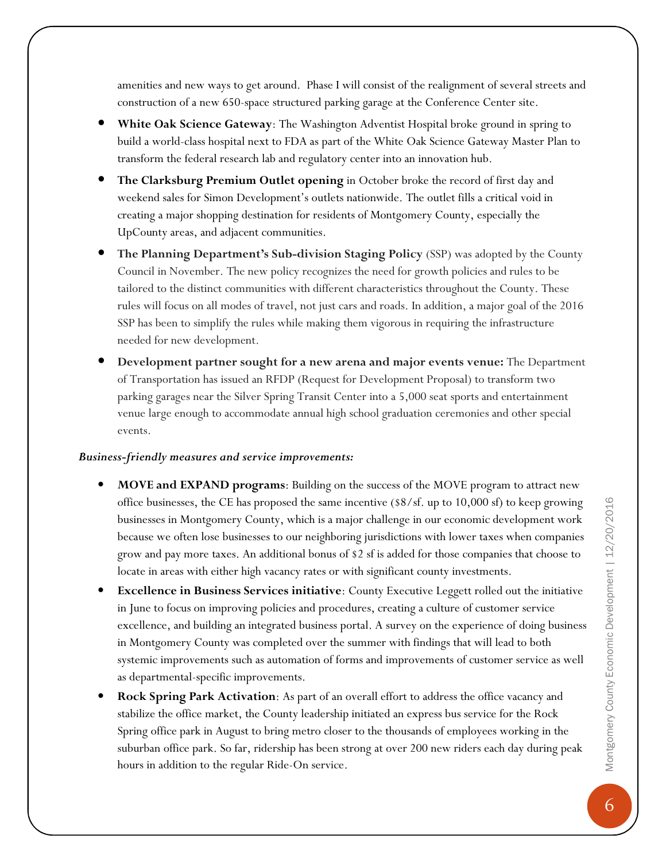amenities and new ways to get around. Phase I will consist of the realignment of several streets and construction of a new 650-space structured parking garage at the Conference Center site.

- White Oak Science Gateway: The Washington Adventist Hospital broke ground in spring to build a world-class hospital next to FDA as part of the White Oak Science Gateway Master Plan to transform the federal research lab and regulatory center into an innovation hub.
- The Clarksburg Premium Outlet opening in October broke the record of first day and weekend sales for Simon Development's outlets nationwide. The outlet fills a critical void in creating a major shopping destination for residents of Montgomery County, especially the UpCounty areas, and adjacent communities.
- The Planning Department's Sub-division Staging Policy (SSP) was adopted by the County Council in November. The new policy recognizes the need for growth policies and rules to be tailored to the distinct communities with different characteristics throughout the County. These rules will focus on all modes of travel, not just cars and roads. In addition, a major goal of the 2016 SSP has been to simplify the rules while making them vigorous in requiring the infrastructure needed for new development.
- Development partner sought for a new arena and major events venue: The Department of Transportation has issued an RFDP (Request for Development Proposal) to transform two parking garages near the Silver Spring Transit Center into a 5,000 seat sports and entertainment venue large enough to accommodate annual high school graduation ceremonies and other special events.

#### Business-friendly measures and service improvements:

- MOVE and EXPAND programs: Building on the success of the MOVE program to attract new office businesses, the CE has proposed the same incentive (\$8/sf. up to 10,000 sf) to keep growing businesses in Montgomery County, which is a major challenge in our economic development work because we often lose businesses to our neighboring jurisdictions with lower taxes when companies grow and pay more taxes. An additional bonus of \$2 sf is added for those companies that choose to locate in areas with either high vacancy rates or with significant county investments.
- **Excellence in Business Services initiative:** County Executive Leggett rolled out the initiative in June to focus on improving policies and procedures, creating a culture of customer service excellence, and building an integrated business portal. A survey on the experience of doing business in Montgomery County was completed over the summer with findings that will lead to both systemic improvements such as automation of forms and improvements of customer service as well as departmental-specific improvements.
- **Rock Spring Park Activation:** As part of an overall effort to address the office vacancy and stabilize the office market, the County leadership initiated an express bus service for the Rock Spring office park in August to bring metro closer to the thousands of employees working in the suburban office park. So far, ridership has been strong at over 200 new riders each day during peak hours in addition to the regular Ride-On service.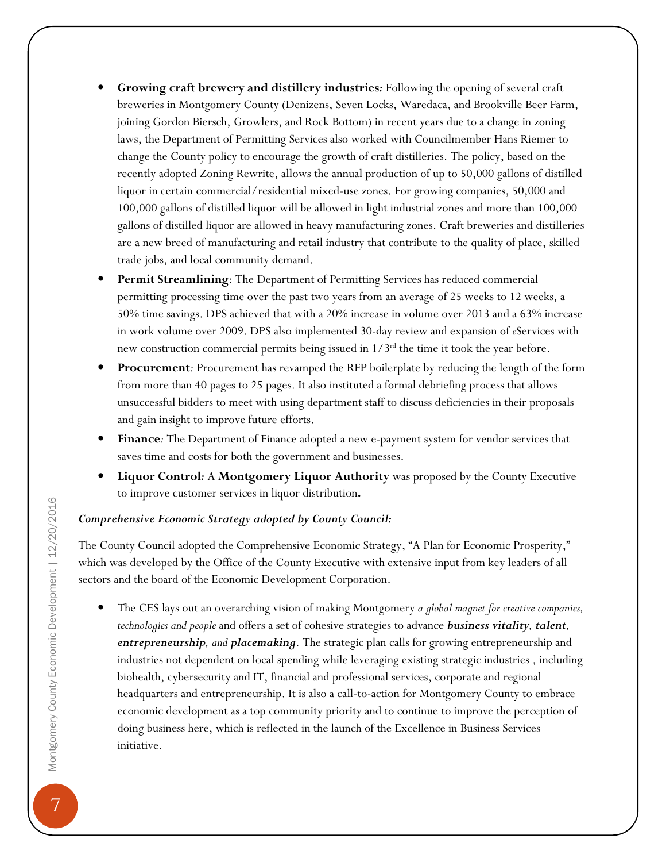- Growing craft brewery and distillery industries: Following the opening of several craft breweries in Montgomery County (Denizens, Seven Locks, Waredaca, and Brookville Beer Farm, joining Gordon Biersch, Growlers, and Rock Bottom) in recent years due to a change in zoning laws, the Department of Permitting Services also worked with Councilmember Hans Riemer to change the County policy to encourage the growth of craft distilleries. The policy, based on the recently adopted Zoning Rewrite, allows the annual production of up to 50,000 gallons of distilled liquor in certain commercial/residential mixed-use zones. For growing companies, 50,000 and 100,000 gallons of distilled liquor will be allowed in light industrial zones and more than 100,000 gallons of distilled liquor are allowed in heavy manufacturing zones. Craft breweries and distilleries are a new breed of manufacturing and retail industry that contribute to the quality of place, skilled trade jobs, and local community demand.
- Permit Streamlining: The Department of Permitting Services has reduced commercial permitting processing time over the past two years from an average of 25 weeks to 12 weeks, a 50% time savings. DPS achieved that with a 20% increase in volume over 2013 and a 63% increase in work volume over 2009. DPS also implemented 30-day review and expansion of eServices with new construction commercial permits being issued in  $1/3^{rd}$  the time it took the year before.
- Procurement: Procurement has revamped the RFP boilerplate by reducing the length of the form from more than 40 pages to 25 pages. It also instituted a formal debriefing process that allows unsuccessful bidders to meet with using department staff to discuss deficiencies in their proposals and gain insight to improve future efforts.
- Finance: The Department of Finance adopted a new e-payment system for vendor services that saves time and costs for both the government and businesses.
- Liquor Control: A Montgomery Liquor Authority was proposed by the County Executive to improve customer services in liquor distribution.

#### Comprehensive Economic Strategy adopted by County Council:

The County Council adopted the Comprehensive Economic Strategy, "A Plan for Economic Prosperity," which was developed by the Office of the County Executive with extensive input from key leaders of all sectors and the board of the Economic Development Corporation.

The CES lays out an overarching vision of making Montgomery a global magnet for creative companies, technologies and people and offers a set of cohesive strategies to advance business vitality, talent, entrepreneurship, and placemaking. The strategic plan calls for growing entrepreneurship and industries not dependent on local spending while leveraging existing strategic industries , including biohealth, cybersecurity and IT, financial and professional services, corporate and regional headquarters and entrepreneurship. It is also a call-to-action for Montgomery County to embrace economic development as a top community priority and to continue to improve the perception of doing business here, which is reflected in the launch of the Excellence in Business Services initiative.